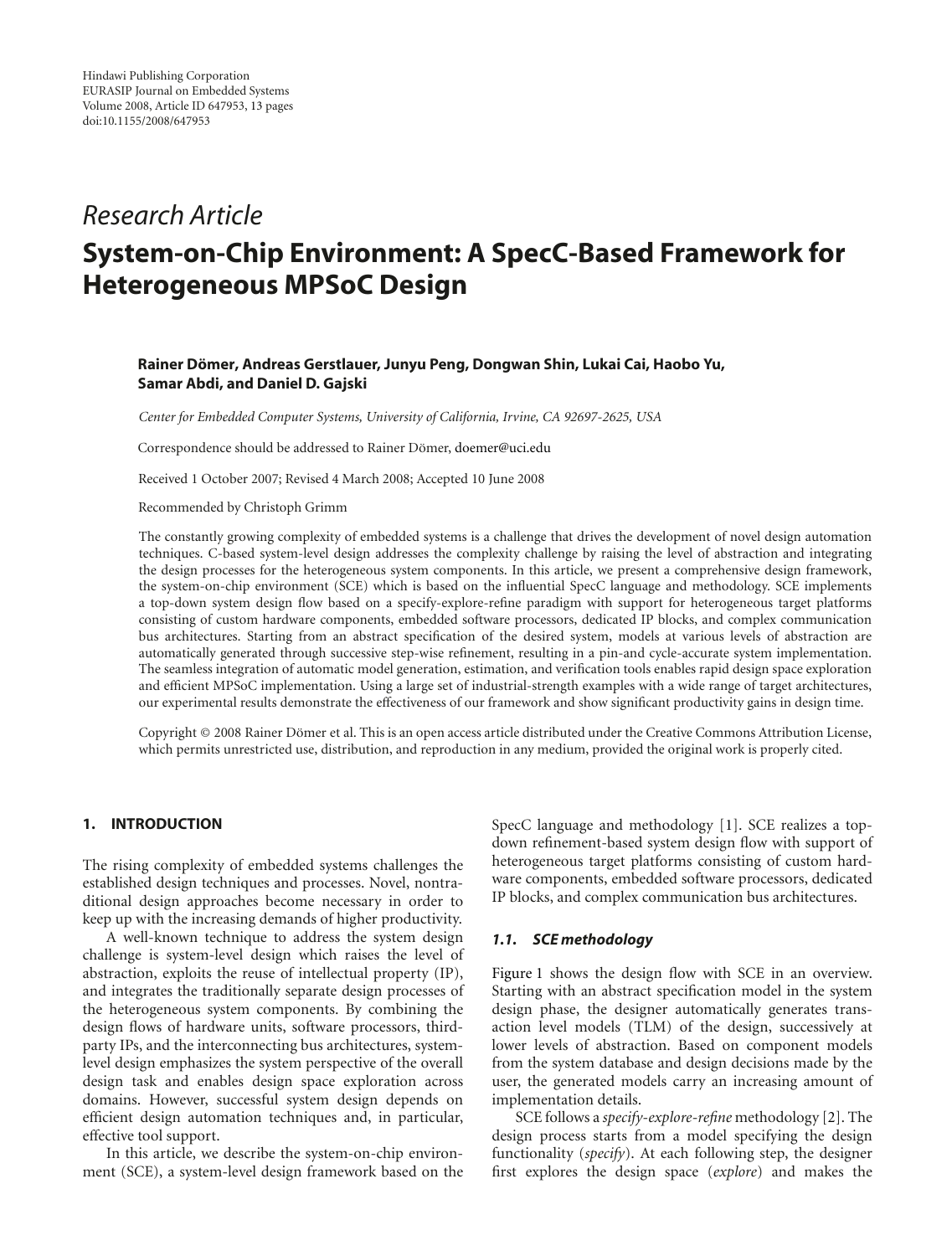# *Research Article*

# **System-on-Chip Environment: A SpecC-Based Framework for Heterogeneous MPSoC Design**

# **Rainer Domer, Andreas Gerstlauer, Junyu Peng, Dongwan Shin, Lukai Cai, Haobo Yu, ¨ Samar Abdi, and Daniel D. Gajski**

*Center for Embedded Computer Systems, University of California, Irvine, CA 92697-2625, USA*

Correspondence should be addressed to Rainer Dömer, doemer@uci.edu

Received 1 October 2007; Revised 4 March 2008; Accepted 10 June 2008

Recommended by Christoph Grimm

The constantly growing complexity of embedded systems is a challenge that drives the development of novel design automation techniques. C-based system-level design addresses the complexity challenge by raising the level of abstraction and integrating the design processes for the heterogeneous system components. In this article, we present a comprehensive design framework, the system-on-chip environment (SCE) which is based on the influential SpecC language and methodology. SCE implements a top-down system design flow based on a specify-explore-refine paradigm with support for heterogeneous target platforms consisting of custom hardware components, embedded software processors, dedicated IP blocks, and complex communication bus architectures. Starting from an abstract specification of the desired system, models at various levels of abstraction are automatically generated through successive step-wise refinement, resulting in a pin-and cycle-accurate system implementation. The seamless integration of automatic model generation, estimation, and verification tools enables rapid design space exploration and efficient MPSoC implementation. Using a large set of industrial-strength examples with a wide range of target architectures, our experimental results demonstrate the effectiveness of our framework and show significant productivity gains in design time.

Copyright © 2008 Rainer Dömer et al. This is an open access article distributed under the Creative Commons Attribution License, which permits unrestricted use, distribution, and reproduction in any medium, provided the original work is properly cited.

# **1. INTRODUCTION**

The rising complexity of embedded systems challenges the established design techniques and processes. Novel, nontraditional design approaches become necessary in order to keep up with the increasing demands of higher productivity.

A well-known technique to address the system design challenge is system-level design which raises the level of abstraction, exploits the reuse of intellectual property (IP), and integrates the traditionally separate design processes of the heterogeneous system components. By combining the design flows of hardware units, software processors, thirdparty IPs, and the interconnecting bus architectures, systemlevel design emphasizes the system perspective of the overall design task and enables design space exploration across domains. However, successful system design depends on efficient design automation techniques and, in particular, effective tool support.

In this article, we describe the system-on-chip environment (SCE), a system-level design framework based on the SpecC language and methodology [1]. SCE realizes a topdown refinement-based system design flow with support of heterogeneous target platforms consisting of custom hardware components, embedded software processors, dedicated IP blocks, and complex communication bus architectures.

# *1.1. SCE methodology*

Figure 1 shows the design flow with SCE in an overview. Starting with an abstract specification model in the system design phase, the designer automatically generates transaction level models (TLM) of the design, successively at lower levels of abstraction. Based on component models from the system database and design decisions made by the user, the generated models carry an increasing amount of implementation details.

SCE follows a *specify-explore-refine* methodology [2]. The design process starts from a model specifying the design functionality (*specify*). At each following step, the designer first explores the design space (*explore*) and makes the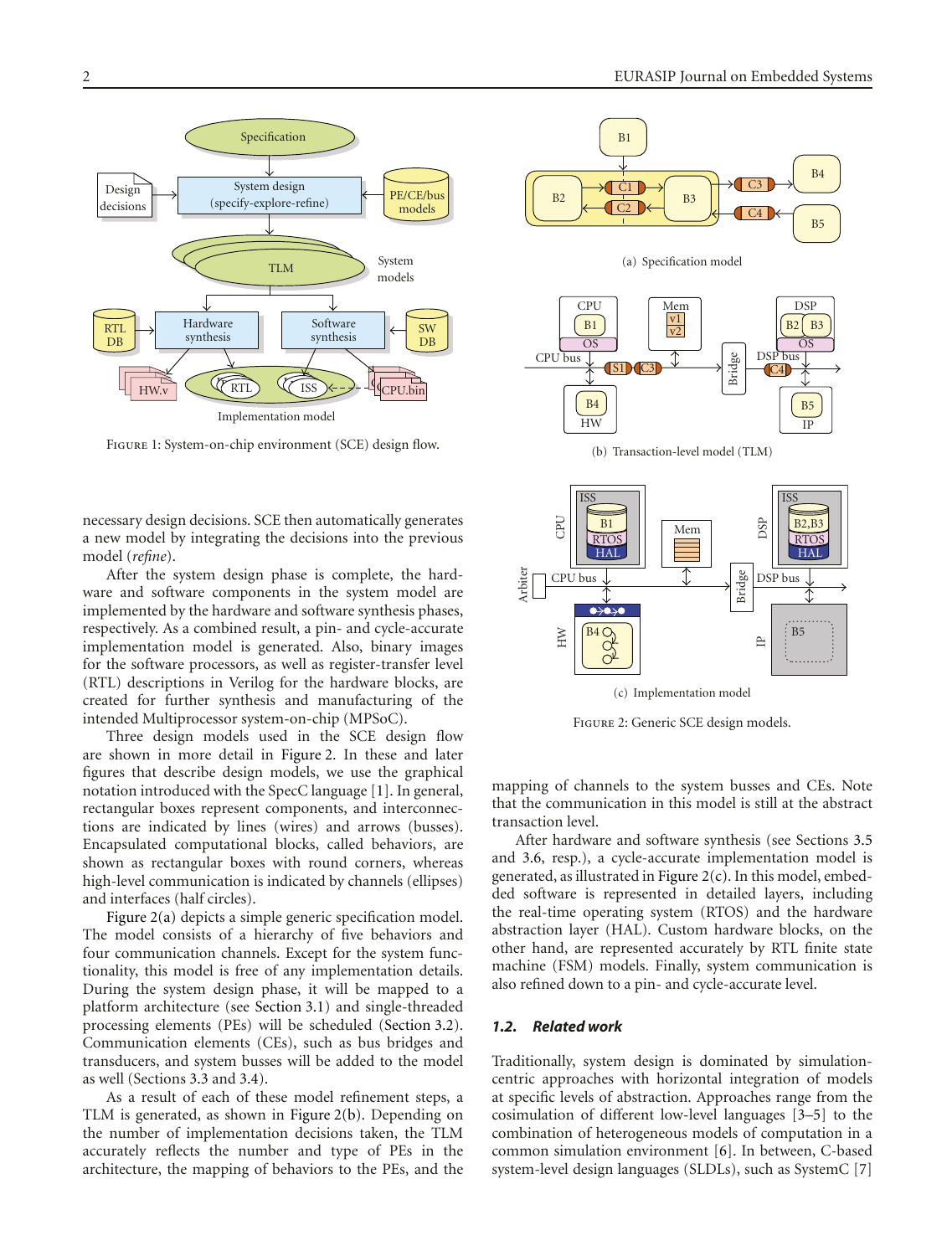

Figure 1: System-on-chip environment (SCE) design flow.

necessary design decisions. SCE then automatically generates a new model by integrating the decisions into the previous model (*refine*).

After the system design phase is complete, the hardware and software components in the system model are implemented by the hardware and software synthesis phases, respectively. As a combined result, a pin- and cycle-accurate implementation model is generated. Also, binary images for the software processors, as well as register-transfer level (RTL) descriptions in Verilog for the hardware blocks, are created for further synthesis and manufacturing of the intended Multiprocessor system-on-chip (MPSoC).

Three design models used in the SCE design flow are shown in more detail in Figure 2. In these and later figures that describe design models, we use the graphical notation introduced with the SpecC language [1]. In general, rectangular boxes represent components, and interconnections are indicated by lines (wires) and arrows (busses). Encapsulated computational blocks, called behaviors, are shown as rectangular boxes with round corners, whereas high-level communication is indicated by channels (ellipses) and interfaces (half circles).

Figure 2(a) depicts a simple generic specification model. The model consists of a hierarchy of five behaviors and four communication channels. Except for the system functionality, this model is free of any implementation details. During the system design phase, it will be mapped to a platform architecture (see Section 3.1) and single-threaded processing elements (PEs) will be scheduled (Section 3.2). Communication elements (CEs), such as bus bridges and transducers, and system busses will be added to the model as well (Sections 3.3 and 3.4).

As a result of each of these model refinement steps, a TLM is generated, as shown in Figure 2(b). Depending on the number of implementation decisions taken, the TLM accurately reflects the number and type of PEs in the architecture, the mapping of behaviors to the PEs, and the



Figure 2: Generic SCE design models.

mapping of channels to the system busses and CEs. Note that the communication in this model is still at the abstract transaction level.

After hardware and software synthesis (see Sections 3.5 and 3.6, resp.), a cycle-accurate implementation model is generated, as illustrated in Figure 2(c). In this model, embedded software is represented in detailed layers, including the real-time operating system (RTOS) and the hardware abstraction layer (HAL). Custom hardware blocks, on the other hand, are represented accurately by RTL finite state machine (FSM) models. Finally, system communication is also refined down to a pin- and cycle-accurate level.

#### *1.2. Related work*

Traditionally, system design is dominated by simulationcentric approaches with horizontal integration of models at specific levels of abstraction. Approaches range from the cosimulation of different low-level languages [3–5] to the combination of heterogeneous models of computation in a common simulation environment [6]. In between, C-based system-level design languages (SLDLs), such as SystemC [7]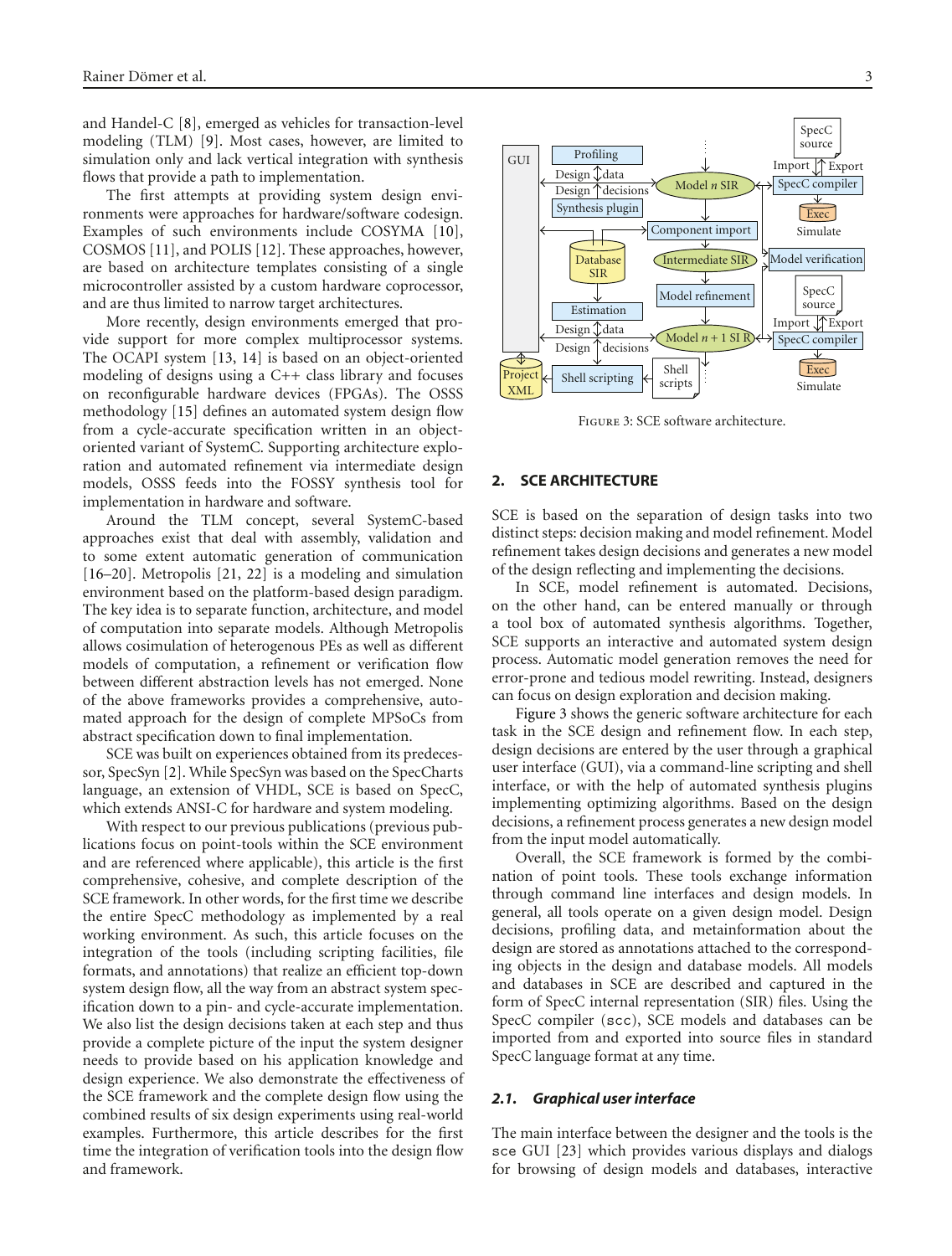and Handel-C [8], emerged as vehicles for transaction-level modeling (TLM) [9]. Most cases, however, are limited to simulation only and lack vertical integration with synthesis flows that provide a path to implementation.

The first attempts at providing system design environments were approaches for hardware/software codesign. Examples of such environments include COSYMA [10], COSMOS [11], and POLIS [12]. These approaches, however, are based on architecture templates consisting of a single microcontroller assisted by a custom hardware coprocessor, and are thus limited to narrow target architectures.

More recently, design environments emerged that provide support for more complex multiprocessor systems. The OCAPI system [13, 14] is based on an object-oriented modeling of designs using a C++ class library and focuses on reconfigurable hardware devices (FPGAs). The OSSS methodology [15] defines an automated system design flow from a cycle-accurate specification written in an objectoriented variant of SystemC. Supporting architecture exploration and automated refinement via intermediate design models, OSSS feeds into the FOSSY synthesis tool for implementation in hardware and software.

Around the TLM concept, several SystemC-based approaches exist that deal with assembly, validation and to some extent automatic generation of communication [16–20]. Metropolis [21, 22] is a modeling and simulation environment based on the platform-based design paradigm. The key idea is to separate function, architecture, and model of computation into separate models. Although Metropolis allows cosimulation of heterogenous PEs as well as different models of computation, a refinement or verification flow between different abstraction levels has not emerged. None of the above frameworks provides a comprehensive, automated approach for the design of complete MPSoCs from abstract specification down to final implementation.

SCE was built on experiences obtained from its predecessor, SpecSyn [2]. While SpecSyn was based on the SpecCharts language, an extension of VHDL, SCE is based on SpecC, which extends ANSI-C for hardware and system modeling.

With respect to our previous publications (previous publications focus on point-tools within the SCE environment and are referenced where applicable), this article is the first comprehensive, cohesive, and complete description of the SCE framework. In other words, for the first time we describe the entire SpecC methodology as implemented by a real working environment. As such, this article focuses on the integration of the tools (including scripting facilities, file formats, and annotations) that realize an efficient top-down system design flow, all the way from an abstract system specification down to a pin- and cycle-accurate implementation. We also list the design decisions taken at each step and thus provide a complete picture of the input the system designer needs to provide based on his application knowledge and design experience. We also demonstrate the effectiveness of the SCE framework and the complete design flow using the combined results of six design experiments using real-world examples. Furthermore, this article describes for the first time the integration of verification tools into the design flow and framework.



Figure 3: SCE software architecture.

# **2. SCE ARCHITECTURE**

SCE is based on the separation of design tasks into two distinct steps: decision making and model refinement. Model refinement takes design decisions and generates a new model of the design reflecting and implementing the decisions.

In SCE, model refinement is automated. Decisions, on the other hand, can be entered manually or through a tool box of automated synthesis algorithms. Together, SCE supports an interactive and automated system design process. Automatic model generation removes the need for error-prone and tedious model rewriting. Instead, designers can focus on design exploration and decision making.

Figure 3 shows the generic software architecture for each task in the SCE design and refinement flow. In each step, design decisions are entered by the user through a graphical user interface (GUI), via a command-line scripting and shell interface, or with the help of automated synthesis plugins implementing optimizing algorithms. Based on the design decisions, a refinement process generates a new design model from the input model automatically.

Overall, the SCE framework is formed by the combination of point tools. These tools exchange information through command line interfaces and design models. In general, all tools operate on a given design model. Design decisions, profiling data, and metainformation about the design are stored as annotations attached to the corresponding objects in the design and database models. All models and databases in SCE are described and captured in the form of SpecC internal representation (SIR) files. Using the SpecC compiler (scc), SCE models and databases can be imported from and exported into source files in standard SpecC language format at any time.

### *2.1. Graphical user interface*

The main interface between the designer and the tools is the sce GUI [23] which provides various displays and dialogs for browsing of design models and databases, interactive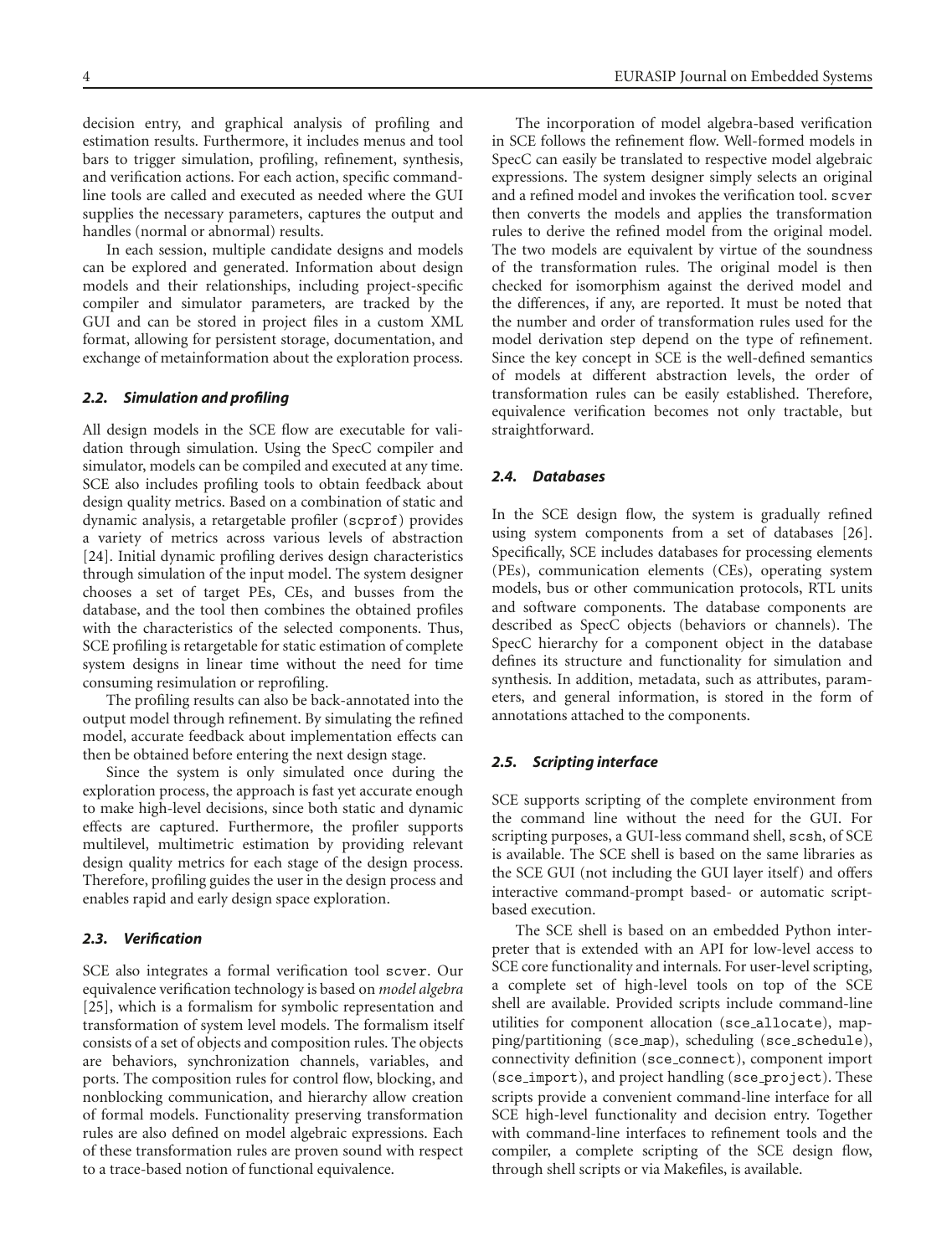decision entry, and graphical analysis of profiling and estimation results. Furthermore, it includes menus and tool bars to trigger simulation, profiling, refinement, synthesis, and verification actions. For each action, specific commandline tools are called and executed as needed where the GUI supplies the necessary parameters, captures the output and handles (normal or abnormal) results.

In each session, multiple candidate designs and models can be explored and generated. Information about design models and their relationships, including project-specific compiler and simulator parameters, are tracked by the GUI and can be stored in project files in a custom XML format, allowing for persistent storage, documentation, and exchange of metainformation about the exploration process.

#### *2.2. Simulation and profiling*

All design models in the SCE flow are executable for validation through simulation. Using the SpecC compiler and simulator, models can be compiled and executed at any time. SCE also includes profiling tools to obtain feedback about design quality metrics. Based on a combination of static and dynamic analysis, a retargetable profiler (scprof) provides a variety of metrics across various levels of abstraction [24]. Initial dynamic profiling derives design characteristics through simulation of the input model. The system designer chooses a set of target PEs, CEs, and busses from the database, and the tool then combines the obtained profiles with the characteristics of the selected components. Thus, SCE profiling is retargetable for static estimation of complete system designs in linear time without the need for time consuming resimulation or reprofiling.

The profiling results can also be back-annotated into the output model through refinement. By simulating the refined model, accurate feedback about implementation effects can then be obtained before entering the next design stage.

Since the system is only simulated once during the exploration process, the approach is fast yet accurate enough to make high-level decisions, since both static and dynamic effects are captured. Furthermore, the profiler supports multilevel, multimetric estimation by providing relevant design quality metrics for each stage of the design process. Therefore, profiling guides the user in the design process and enables rapid and early design space exploration.

#### *2.3. Verification*

SCE also integrates a formal verification tool scver. Our equivalence verification technology is based on *model algebra* [25], which is a formalism for symbolic representation and transformation of system level models. The formalism itself consists of a set of objects and composition rules. The objects are behaviors, synchronization channels, variables, and ports. The composition rules for control flow, blocking, and nonblocking communication, and hierarchy allow creation of formal models. Functionality preserving transformation rules are also defined on model algebraic expressions. Each of these transformation rules are proven sound with respect to a trace-based notion of functional equivalence.

The incorporation of model algebra-based verification in SCE follows the refinement flow. Well-formed models in SpecC can easily be translated to respective model algebraic expressions. The system designer simply selects an original and a refined model and invokes the verification tool. scver then converts the models and applies the transformation rules to derive the refined model from the original model. The two models are equivalent by virtue of the soundness of the transformation rules. The original model is then checked for isomorphism against the derived model and the differences, if any, are reported. It must be noted that the number and order of transformation rules used for the model derivation step depend on the type of refinement. Since the key concept in SCE is the well-defined semantics of models at different abstraction levels, the order of transformation rules can be easily established. Therefore, equivalence verification becomes not only tractable, but straightforward.

#### *2.4. Databases*

In the SCE design flow, the system is gradually refined using system components from a set of databases [26]. Specifically, SCE includes databases for processing elements (PEs), communication elements (CEs), operating system models, bus or other communication protocols, RTL units and software components. The database components are described as SpecC objects (behaviors or channels). The SpecC hierarchy for a component object in the database defines its structure and functionality for simulation and synthesis. In addition, metadata, such as attributes, parameters, and general information, is stored in the form of annotations attached to the components.

#### *2.5. Scripting interface*

SCE supports scripting of the complete environment from the command line without the need for the GUI. For scripting purposes, a GUI-less command shell, scsh, of SCE is available. The SCE shell is based on the same libraries as the SCE GUI (not including the GUI layer itself) and offers interactive command-prompt based- or automatic scriptbased execution.

The SCE shell is based on an embedded Python interpreter that is extended with an API for low-level access to SCE core functionality and internals. For user-level scripting, a complete set of high-level tools on top of the SCE shell are available. Provided scripts include command-line utilities for component allocation (sce allocate), mapping/partitioning (sce map), scheduling (sce schedule), connectivity definition (sce connect), component import (sce\_import), and project handling (sce\_project). These scripts provide a convenient command-line interface for all SCE high-level functionality and decision entry. Together with command-line interfaces to refinement tools and the compiler, a complete scripting of the SCE design flow, through shell scripts or via Makefiles, is available.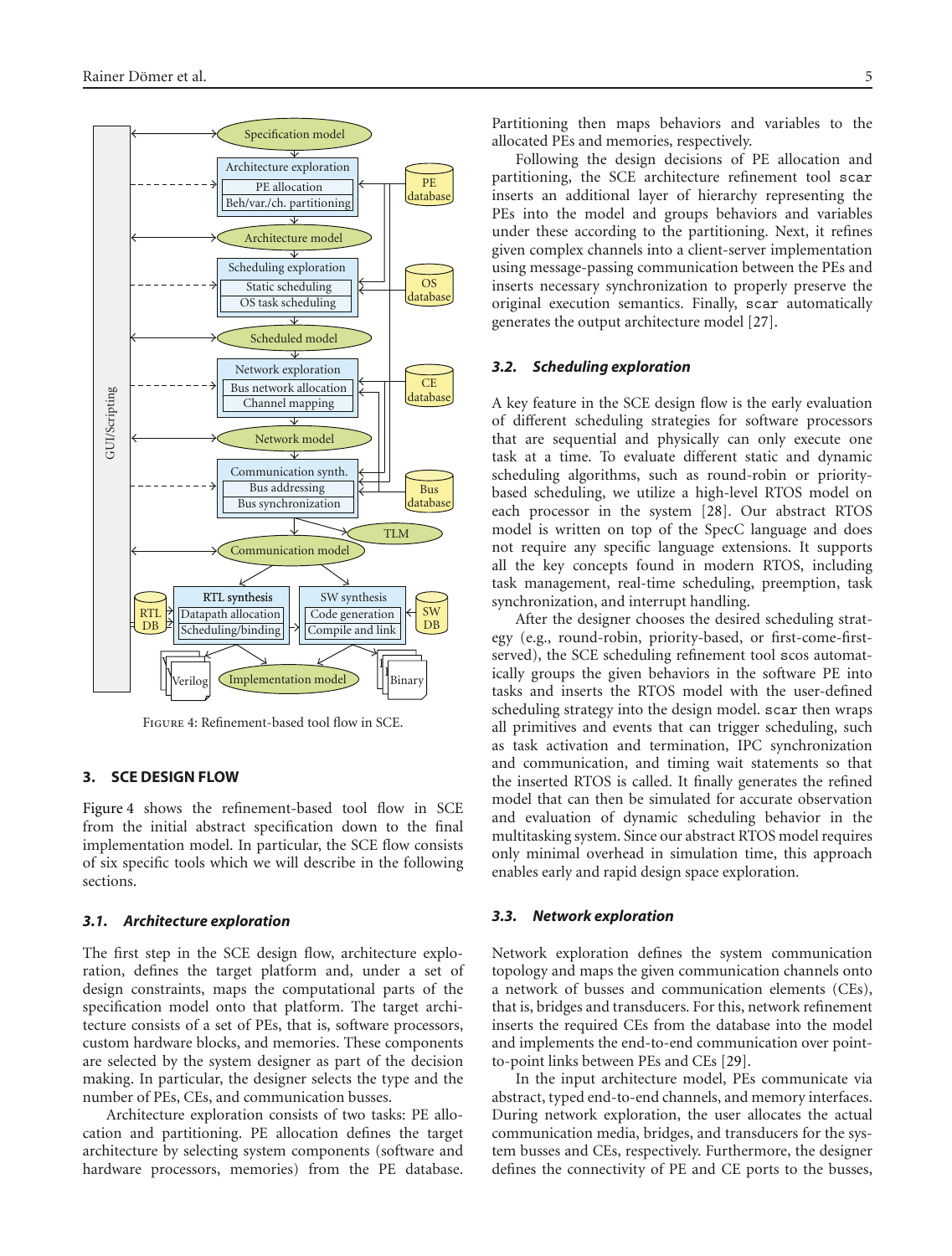

Figure 4: Refinement-based tool flow in SCE.

#### **3. SCE DESIGN FLOW**

Figure 4 shows the refinement-based tool flow in SCE from the initial abstract specification down to the final implementation model. In particular, the SCE flow consists of six specific tools which we will describe in the following sections.

#### *3.1. Architecture exploration*

The first step in the SCE design flow, architecture exploration, defines the target platform and, under a set of design constraints, maps the computational parts of the specification model onto that platform. The target architecture consists of a set of PEs, that is, software processors, custom hardware blocks, and memories. These components are selected by the system designer as part of the decision making. In particular, the designer selects the type and the number of PEs, CEs, and communication busses.

Architecture exploration consists of two tasks: PE allocation and partitioning. PE allocation defines the target architecture by selecting system components (software and hardware processors, memories) from the PE database. Partitioning then maps behaviors and variables to the allocated PEs and memories, respectively.

Following the design decisions of PE allocation and partitioning, the SCE architecture refinement tool scar inserts an additional layer of hierarchy representing the PEs into the model and groups behaviors and variables under these according to the partitioning. Next, it refines given complex channels into a client-server implementation using message-passing communication between the PEs and inserts necessary synchronization to properly preserve the original execution semantics. Finally, scar automatically generates the output architecture model [27].

#### *3.2. Scheduling exploration*

A key feature in the SCE design flow is the early evaluation of different scheduling strategies for software processors that are sequential and physically can only execute one task at a time. To evaluate different static and dynamic scheduling algorithms, such as round-robin or prioritybased scheduling, we utilize a high-level RTOS model on each processor in the system [28]. Our abstract RTOS model is written on top of the SpecC language and does not require any specific language extensions. It supports all the key concepts found in modern RTOS, including task management, real-time scheduling, preemption, task synchronization, and interrupt handling.

After the designer chooses the desired scheduling strategy (e.g., round-robin, priority-based, or first-come-firstserved), the SCE scheduling refinement tool scos automatically groups the given behaviors in the software PE into tasks and inserts the RTOS model with the user-defined scheduling strategy into the design model. scar then wraps all primitives and events that can trigger scheduling, such as task activation and termination, IPC synchronization and communication, and timing wait statements so that the inserted RTOS is called. It finally generates the refined model that can then be simulated for accurate observation and evaluation of dynamic scheduling behavior in the multitasking system. Since our abstract RTOS model requires only minimal overhead in simulation time, this approach enables early and rapid design space exploration.

#### *3.3. Network exploration*

Network exploration defines the system communication topology and maps the given communication channels onto a network of busses and communication elements (CEs), that is, bridges and transducers. For this, network refinement inserts the required CEs from the database into the model and implements the end-to-end communication over pointto-point links between PEs and CEs [29].

In the input architecture model, PEs communicate via abstract, typed end-to-end channels, and memory interfaces. During network exploration, the user allocates the actual communication media, bridges, and transducers for the system busses and CEs, respectively. Furthermore, the designer defines the connectivity of PE and CE ports to the busses,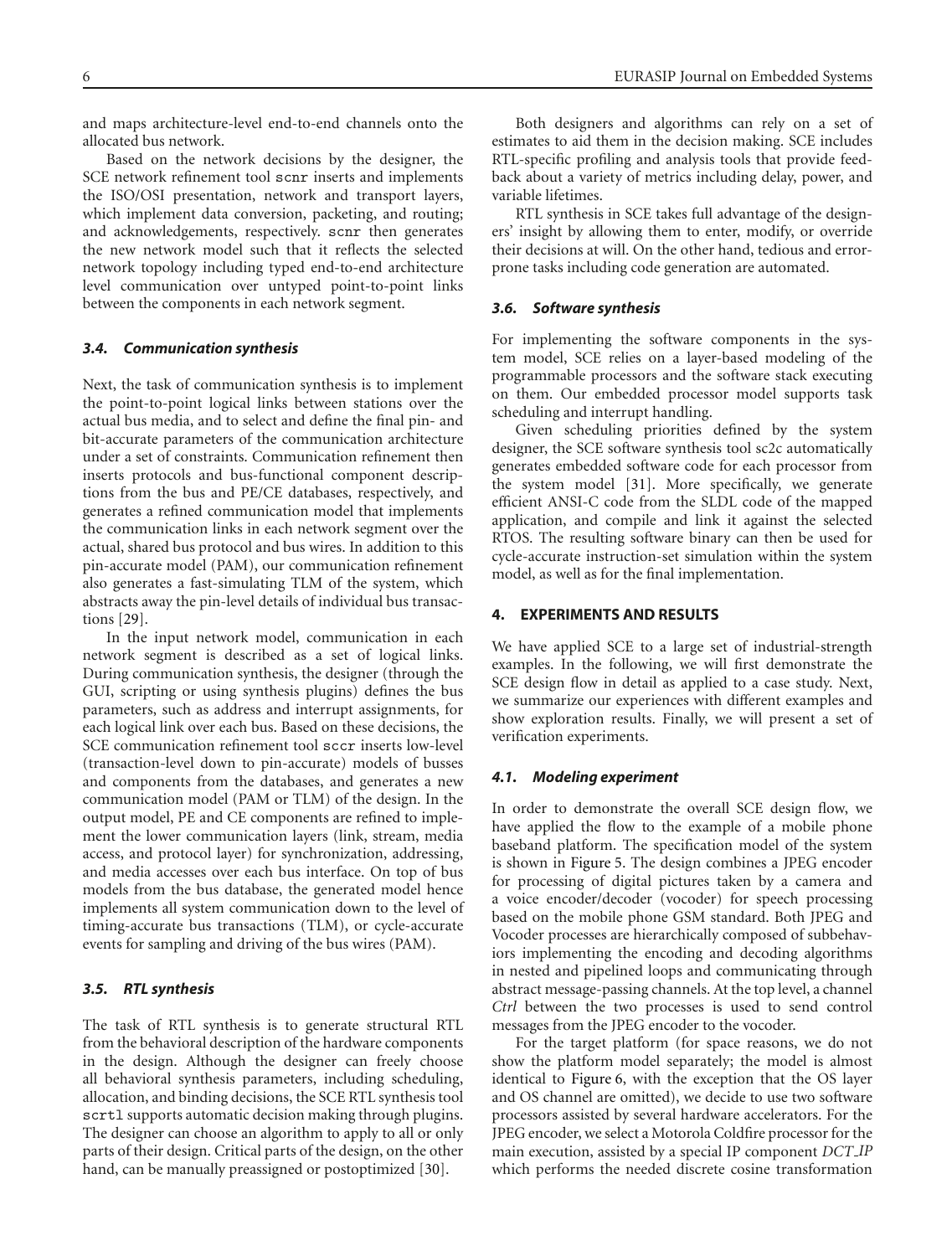and maps architecture-level end-to-end channels onto the allocated bus network.

Based on the network decisions by the designer, the SCE network refinement tool scnr inserts and implements the ISO/OSI presentation, network and transport layers, which implement data conversion, packeting, and routing; and acknowledgements, respectively. scnr then generates the new network model such that it reflects the selected network topology including typed end-to-end architecture level communication over untyped point-to-point links between the components in each network segment.

# *3.4. Communication synthesis*

Next, the task of communication synthesis is to implement the point-to-point logical links between stations over the actual bus media, and to select and define the final pin- and bit-accurate parameters of the communication architecture under a set of constraints. Communication refinement then inserts protocols and bus-functional component descriptions from the bus and PE/CE databases, respectively, and generates a refined communication model that implements the communication links in each network segment over the actual, shared bus protocol and bus wires. In addition to this pin-accurate model (PAM), our communication refinement also generates a fast-simulating TLM of the system, which abstracts away the pin-level details of individual bus transactions [29].

In the input network model, communication in each network segment is described as a set of logical links. During communication synthesis, the designer (through the GUI, scripting or using synthesis plugins) defines the bus parameters, such as address and interrupt assignments, for each logical link over each bus. Based on these decisions, the SCE communication refinement tool sccr inserts low-level (transaction-level down to pin-accurate) models of busses and components from the databases, and generates a new communication model (PAM or TLM) of the design. In the output model, PE and CE components are refined to implement the lower communication layers (link, stream, media access, and protocol layer) for synchronization, addressing, and media accesses over each bus interface. On top of bus models from the bus database, the generated model hence implements all system communication down to the level of timing-accurate bus transactions (TLM), or cycle-accurate events for sampling and driving of the bus wires (PAM).

# *3.5. RTL synthesis*

The task of RTL synthesis is to generate structural RTL from the behavioral description of the hardware components in the design. Although the designer can freely choose all behavioral synthesis parameters, including scheduling, allocation, and binding decisions, the SCE RTL synthesis tool scrtl supports automatic decision making through plugins. The designer can choose an algorithm to apply to all or only parts of their design. Critical parts of the design, on the other hand, can be manually preassigned or postoptimized [30].

Both designers and algorithms can rely on a set of estimates to aid them in the decision making. SCE includes RTL-specific profiling and analysis tools that provide feedback about a variety of metrics including delay, power, and variable lifetimes.

RTL synthesis in SCE takes full advantage of the designers' insight by allowing them to enter, modify, or override their decisions at will. On the other hand, tedious and errorprone tasks including code generation are automated.

# *3.6. Software synthesis*

For implementing the software components in the system model, SCE relies on a layer-based modeling of the programmable processors and the software stack executing on them. Our embedded processor model supports task scheduling and interrupt handling.

Given scheduling priorities defined by the system designer, the SCE software synthesis tool sc2c automatically generates embedded software code for each processor from the system model [31]. More specifically, we generate efficient ANSI-C code from the SLDL code of the mapped application, and compile and link it against the selected RTOS. The resulting software binary can then be used for cycle-accurate instruction-set simulation within the system model, as well as for the final implementation.

#### **4. EXPERIMENTS AND RESULTS**

We have applied SCE to a large set of industrial-strength examples. In the following, we will first demonstrate the SCE design flow in detail as applied to a case study. Next, we summarize our experiences with different examples and show exploration results. Finally, we will present a set of verification experiments.

#### *4.1. Modeling experiment*

In order to demonstrate the overall SCE design flow, we have applied the flow to the example of a mobile phone baseband platform. The specification model of the system is shown in Figure 5. The design combines a JPEG encoder for processing of digital pictures taken by a camera and a voice encoder/decoder (vocoder) for speech processing based on the mobile phone GSM standard. Both JPEG and Vocoder processes are hierarchically composed of subbehaviors implementing the encoding and decoding algorithms in nested and pipelined loops and communicating through abstract message-passing channels. At the top level, a channel *Ctrl* between the two processes is used to send control messages from the JPEG encoder to the vocoder.

For the target platform (for space reasons, we do not show the platform model separately; the model is almost identical to Figure 6, with the exception that the OS layer and OS channel are omitted), we decide to use two software processors assisted by several hardware accelerators. For the JPEG encoder, we select a Motorola Coldfire processor for the main execution, assisted by a special IP component *DCT IP* which performs the needed discrete cosine transformation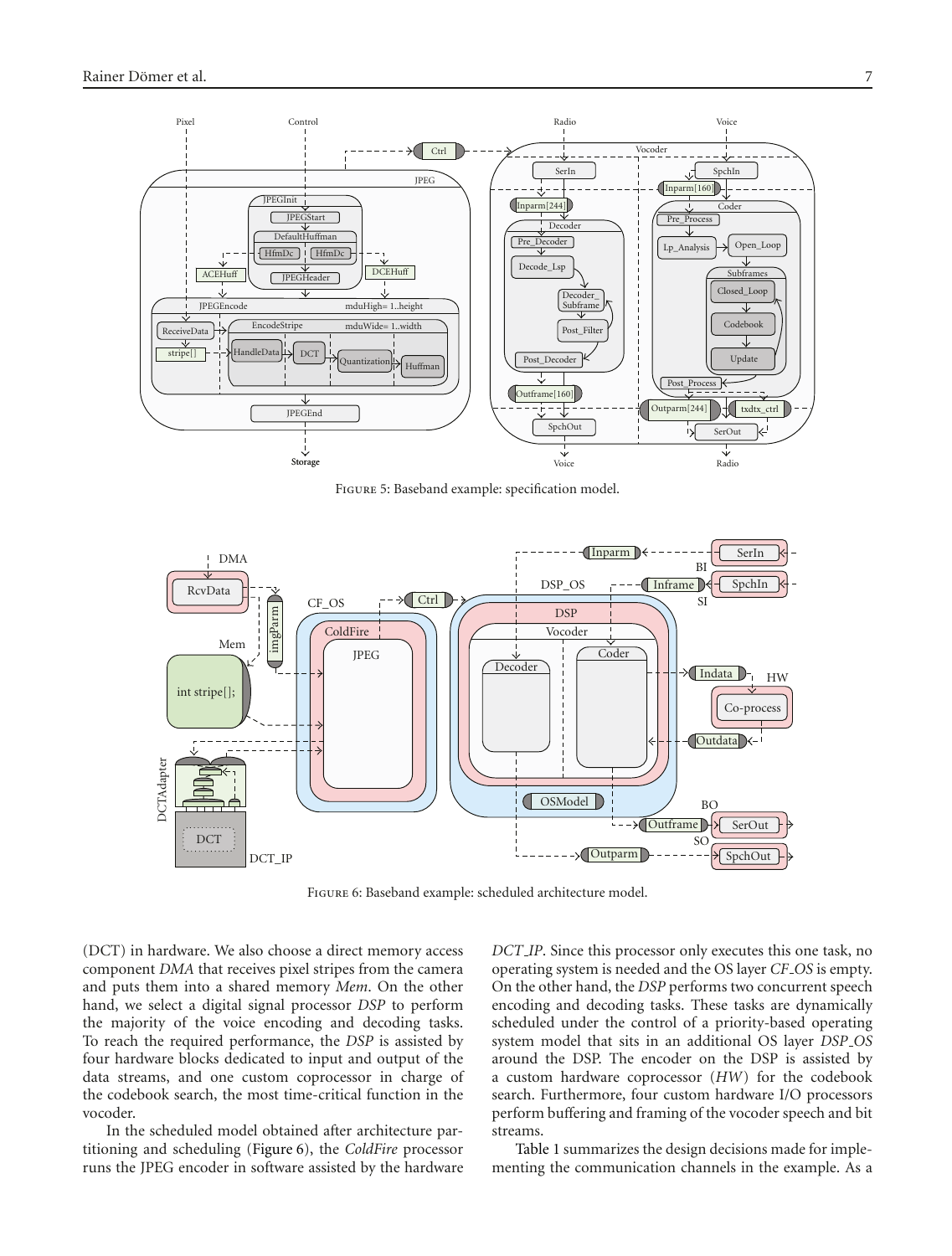

Figure 5: Baseband example: specification model.



Figure 6: Baseband example: scheduled architecture model.

(DCT) in hardware. We also choose a direct memory access component *DMA* that receives pixel stripes from the camera and puts them into a shared memory *Mem*. On the other hand, we select a digital signal processor *DSP* to perform the majority of the voice encoding and decoding tasks. To reach the required performance, the *DSP* is assisted by four hardware blocks dedicated to input and output of the data streams, and one custom coprocessor in charge of the codebook search, the most time-critical function in the vocoder.

In the scheduled model obtained after architecture partitioning and scheduling (Figure 6), the *ColdFire* processor runs the JPEG encoder in software assisted by the hardware

*DCT IP*. Since this processor only executes this one task, no operating system is needed and the OS layer *CF OS* is empty. On the other hand, the *DSP* performs two concurrent speech encoding and decoding tasks. These tasks are dynamically scheduled under the control of a priority-based operating system model that sits in an additional OS layer *DSP OS* around the DSP. The encoder on the DSP is assisted by a custom hardware coprocessor (*HW*) for the codebook search. Furthermore, four custom hardware I/O processors perform buffering and framing of the vocoder speech and bit streams.

Table 1 summarizes the design decisions made for implementing the communication channels in the example. As a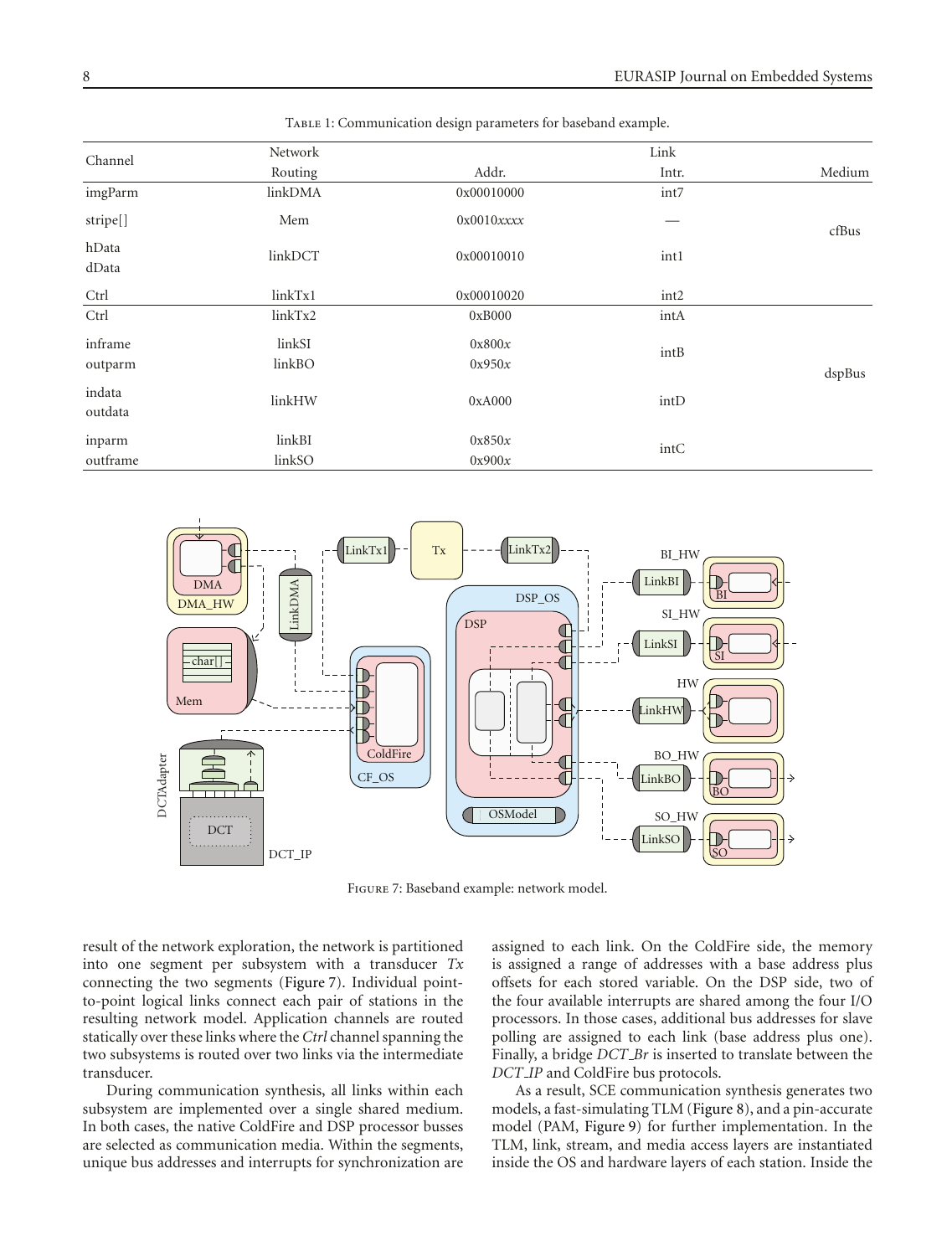| Channel           | Network |                |                  |        |  |
|-------------------|---------|----------------|------------------|--------|--|
|                   | Routing | Addr.          | Intr.            | Medium |  |
| imgParm           | linkDMA | 0x00010000     | int7             |        |  |
| stripe[]          | Mem     | $0x0010x$ xxxx |                  | cfBus  |  |
| hData<br>dData    | linkDCT | 0x00010010     | int1             |        |  |
| Ctrl              | linkTx1 | 0x00010020     | int <sub>2</sub> |        |  |
| Ctrl              | linkTx2 | 0xB000         | intA             |        |  |
| inframe           | linkSI  | 0x800x         | intB             |        |  |
| outparm           | linkBO  | 0x950x         |                  | dspBus |  |
| indata<br>outdata | linkHW  | 0xA000         | intD             |        |  |
| inparm            | linkBI  | 0x850x         | intC             |        |  |
| outframe          | linkSO  | 0x900x         |                  |        |  |

TABLE 1: Communication design parameters for baseband example.



Figure 7: Baseband example: network model.

result of the network exploration, the network is partitioned into one segment per subsystem with a transducer *Tx* connecting the two segments (Figure 7). Individual pointto-point logical links connect each pair of stations in the resulting network model. Application channels are routed statically over these links where the *Ctrl* channel spanning the two subsystems is routed over two links via the intermediate transducer.

During communication synthesis, all links within each subsystem are implemented over a single shared medium. In both cases, the native ColdFire and DSP processor busses are selected as communication media. Within the segments, unique bus addresses and interrupts for synchronization are

assigned to each link. On the ColdFire side, the memory is assigned a range of addresses with a base address plus offsets for each stored variable. On the DSP side, two of the four available interrupts are shared among the four I/O processors. In those cases, additional bus addresses for slave polling are assigned to each link (base address plus one). Finally, a bridge *DCT Br* is inserted to translate between the *DCT IP* and ColdFire bus protocols.

As a result, SCE communication synthesis generates two models, a fast-simulating TLM (Figure 8), and a pin-accurate model (PAM, Figure 9) for further implementation. In the TLM, link, stream, and media access layers are instantiated inside the OS and hardware layers of each station. Inside the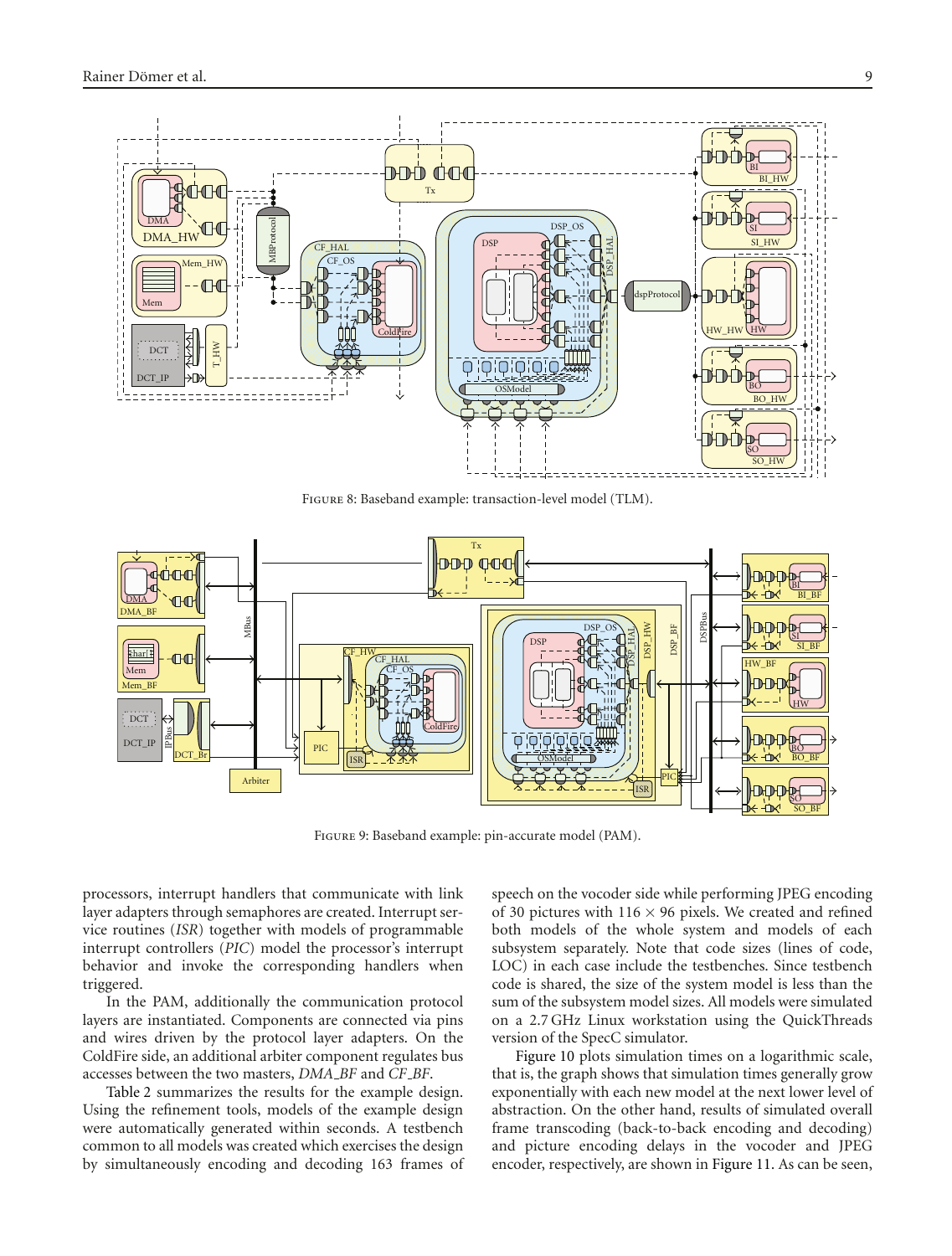

Figure 8: Baseband example: transaction-level model (TLM).



Figure 9: Baseband example: pin-accurate model (PAM).

processors, interrupt handlers that communicate with link layer adapters through semaphores are created. Interrupt service routines (*ISR*) together with models of programmable interrupt controllers (*PIC*) model the processor's interrupt behavior and invoke the corresponding handlers when triggered.

In the PAM, additionally the communication protocol layers are instantiated. Components are connected via pins and wires driven by the protocol layer adapters. On the ColdFire side, an additional arbiter component regulates bus accesses between the two masters, *DMA BF* and *CF BF*.

Table 2 summarizes the results for the example design. Using the refinement tools, models of the example design were automatically generated within seconds. A testbench common to all models was created which exercises the design by simultaneously encoding and decoding 163 frames of speech on the vocoder side while performing JPEG encoding of 30 pictures with  $116 \times 96$  pixels. We created and refined both models of the whole system and models of each subsystem separately. Note that code sizes (lines of code, LOC) in each case include the testbenches. Since testbench code is shared, the size of the system model is less than the sum of the subsystem model sizes. All models were simulated on a 2.7 GHz Linux workstation using the QuickThreads version of the SpecC simulator.

Figure 10 plots simulation times on a logarithmic scale, that is, the graph shows that simulation times generally grow exponentially with each new model at the next lower level of abstraction. On the other hand, results of simulated overall frame transcoding (back-to-back encoding and decoding) and picture encoding delays in the vocoder and JPEG encoder, respectively, are shown in Figure 11. As can be seen,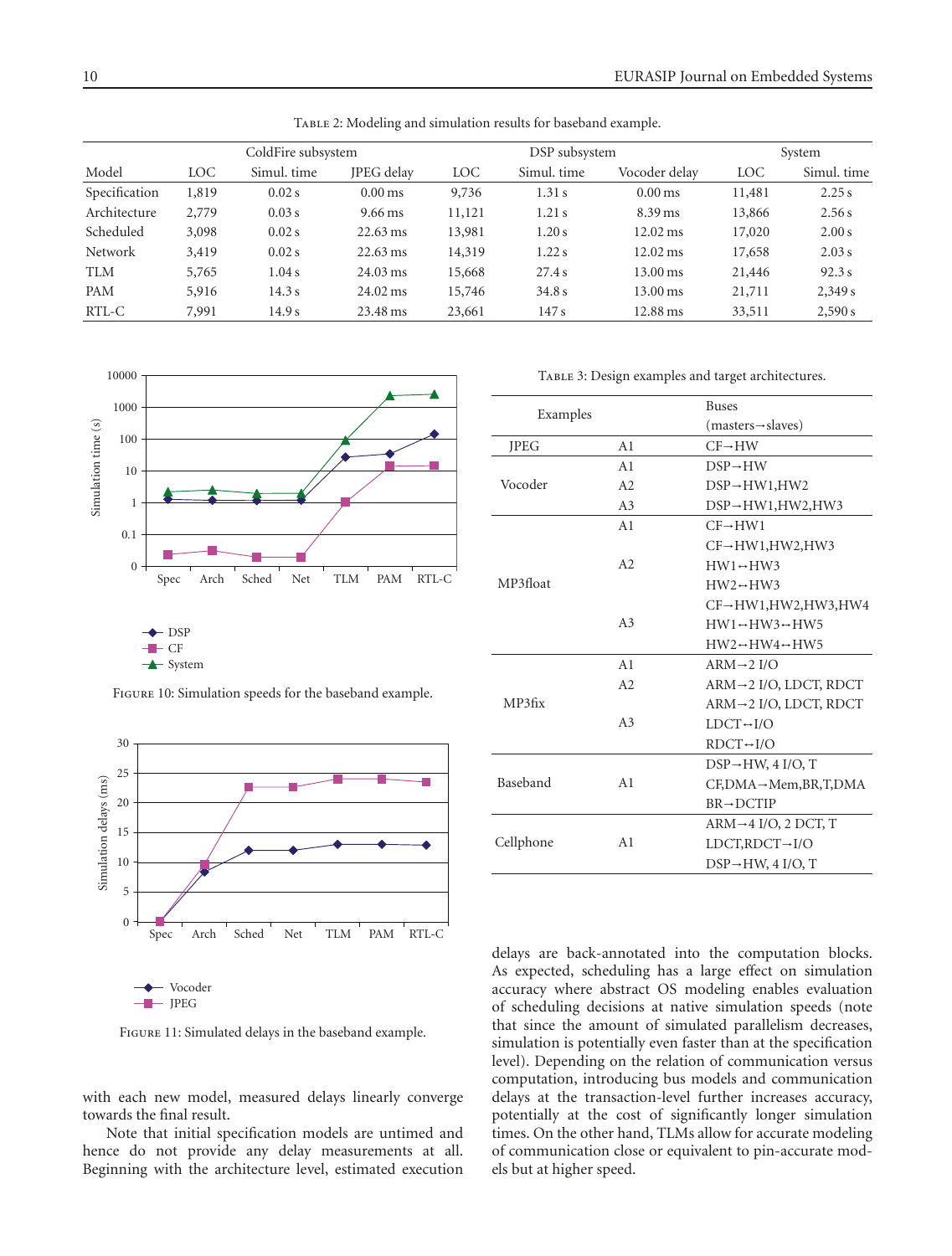|                |       | ColdFire subsystem |                      |            | DSP subsystem |                     | System |             |  |
|----------------|-------|--------------------|----------------------|------------|---------------|---------------------|--------|-------------|--|
| Model          | LOC   | Simul. time        | <b>IPEG</b> delay    | <b>LOC</b> | Simul. time   | Vocoder delav       | LOC    | Simul. time |  |
| Specification  | 1,819 | $0.02$ s           | $0.00$ ms            | 9,736      | 1.31s         | $0.00$ ms           | 11,481 | 2.25 s      |  |
| Architecture   | 2,779 | 0.03 s             | $9.66 \,\mathrm{ms}$ | 11,121     | 1.21s         | $8.39$ ms           | 13,866 | 2.56 s      |  |
| Scheduled      | 3,098 | $0.02$ s           | $22.63 \text{ ms}$   | 13,981     | 1.20s         | $12.02 \,\text{ms}$ | 17,020 | 2.00 s      |  |
| <b>Network</b> | 3,419 | $0.02$ s           | $22.63 \text{ ms}$   | 14,319     | 1.22 s        | $12.02 \,\text{ms}$ | 17,658 | 2.03 s      |  |
| <b>TLM</b>     | 5,765 | 1.04 s             | $24.03 \text{ ms}$   | 15,668     | 27.4s         | 13.00 ms            | 21,446 | 92.3 s      |  |
| PAM            | 5,916 | 14.3 s             | $24.02 \,\text{ms}$  | 15,746     | 34.8 s        | $13.00 \,\text{ms}$ | 21,711 | 2,349s      |  |
| RTL-C          | 7,991 | 14.9s              | 23.48 ms             | 23,661     | 147s          | 12.88 ms            | 33,511 | 2,590 s     |  |

TABLE 2: Modeling and simulation results for baseband example.



Figure 10: Simulation speeds for the baseband example.



| Examples    |                | <b>Buses</b>                                  |
|-------------|----------------|-----------------------------------------------|
|             |                | $(masters \rightarrow slaves)$                |
| <b>JPEG</b> | A <sub>1</sub> | $CF \rightarrow HW$                           |
|             | A <sub>1</sub> | $DSP \rightarrow HW$                          |
| Vocoder     | A2             | $DSP \rightarrow HW1, HW2$                    |
|             | A <sub>3</sub> | $DSP \rightarrow HW1, HW2, HW3$               |
|             | A <sub>1</sub> | $CF \rightarrow HW1$                          |
|             |                | $CF \rightarrow HW1. HW2. HW3$                |
|             | A2             | $HW1 \leftrightarrow HW3$                     |
| MP3float    |                | $HW2 \rightarrow HW3$                         |
|             |                | $CF \rightarrow HW1, HW2, HW3, HW4$           |
|             | A <sub>3</sub> | $HW1 \leftrightarrow HW3 \leftrightarrow HW5$ |
|             |                | $HW2 \rightarrow HW4 \rightarrow HW5$         |
|             | A <sub>1</sub> | $ARM \rightarrow 2 I/O$                       |
|             | A2             | $ARM \rightarrow 2$ I/O, LDCT, RDCT           |
| MP3fix      |                | $ARM \rightarrow 2$ I/O, LDCT, RDCT           |
|             | A <sub>3</sub> | $LDCT \rightarrow I/O$                        |
|             |                | $RDCT \rightarrow I/O$                        |
|             |                | $DSP \rightarrow HW$ , 4 I/O, T               |
| Baseband    | A <sub>1</sub> | $CF, DNA \rightarrow Mem, BR, T, DMA$         |
|             |                | $BR \rightarrow DCTIP$                        |
|             |                | $ARM \rightarrow 4$ I/O, 2 DCT, T             |
| Cellphone   | A1             | $LDCT, RDCT \rightarrow I/O$                  |
|             |                | $DSP \rightarrow HW$ , 4 I/O, T               |

Figure 11: Simulated delays in the baseband example.

- Vocoder  $\blacksquare$  JPEG

with each new model, measured delays linearly converge towards the final result.

Note that initial specification models are untimed and hence do not provide any delay measurements at all. Beginning with the architecture level, estimated execution delays are back-annotated into the computation blocks. As expected, scheduling has a large effect on simulation accuracy where abstract OS modeling enables evaluation of scheduling decisions at native simulation speeds (note that since the amount of simulated parallelism decreases, simulation is potentially even faster than at the specification level). Depending on the relation of communication versus computation, introducing bus models and communication delays at the transaction-level further increases accuracy, potentially at the cost of significantly longer simulation times. On the other hand, TLMs allow for accurate modeling of communication close or equivalent to pin-accurate models but at higher speed.

TABLE 3: Design examples and target architectures.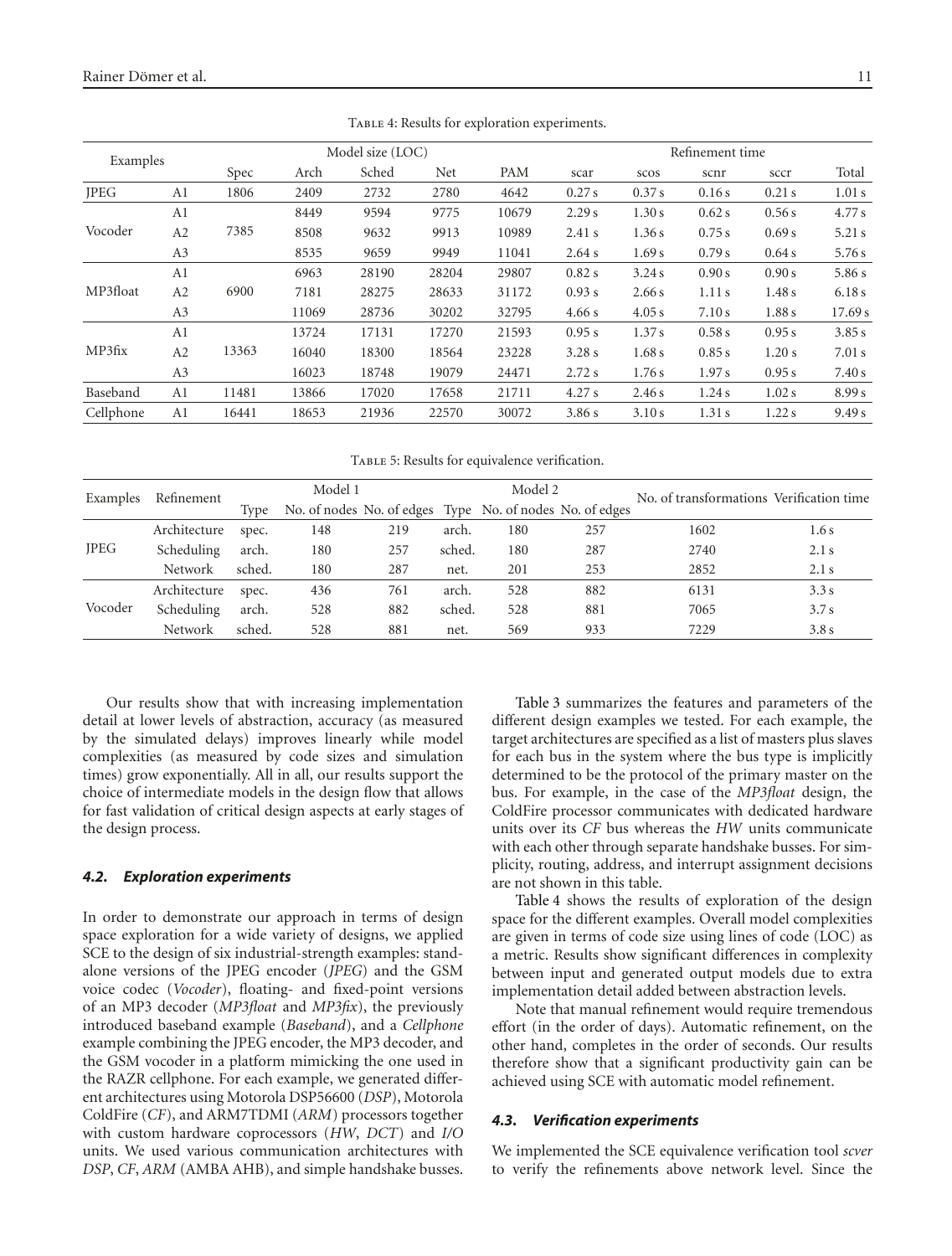| Examples    |                | Model size (LOC) |       |       |       |       | Refinement time |        |        |        |         |
|-------------|----------------|------------------|-------|-------|-------|-------|-----------------|--------|--------|--------|---------|
|             |                | Spec             | Arch  | Sched | Net   | PAM   | scar            | scos   | scnr   | sccr   | Total   |
| <b>JPEG</b> | A1             | 1806             | 2409  | 2732  | 2780  | 4642  | 0.27s           | 0.37 s | 0.16s  | 0.21s  | 1.01 s  |
|             | A1             |                  | 8449  | 9594  | 9775  | 10679 | 2.29 s          | 1.30s  | 0.62 s | 0.56 s | 4.77 s  |
| Vocoder     | A2             | 7385             | 8508  | 9632  | 9913  | 10989 | 2.41 s          | 1.36s  | 0.75 s | 0.69 s | 5.21 s  |
|             | A3             |                  | 8535  | 9659  | 9949  | 11041 | 2.64s           | 1.69s  | 0.79 s | 0.64 s | 5.76 s  |
| MP3float    | A <sub>1</sub> | 6900             | 6963  | 28190 | 28204 | 29807 | 0.82 s          | 3.24s  | 0.90 s | 0.90 s | 5.86 s  |
|             | A2             |                  | 7181  | 28275 | 28633 | 31172 | 0.93 s          | 2.66 s | 1.11s  | 1.48s  | 6.18s   |
|             | A3             |                  | 11069 | 28736 | 30202 | 32795 | 4.66s           | 4.05 s | 7.10 s | 1.88s  | 17.69 s |
| MP3fix      | A <sub>1</sub> | 13363            | 13724 | 17131 | 17270 | 21593 | 0.95 s          | 1.37 s | 0.58 s | 0.95 s | 3.85 s  |
|             | A2             |                  | 16040 | 18300 | 18564 | 23228 | 3.28s           | 1.68s  | 0.85 s | 1.20 s | 7.01 s  |
|             | A3             |                  | 16023 | 18748 | 19079 | 24471 | 2.72 s          | 1.76 s | 1.97 s | 0.95 s | 7.40 s  |
| Baseband    | A1             | 11481            | 13866 | 17020 | 17658 | 21711 | 4.27s           | 2.46s  | 1.24s  | 1.02s  | 8.99 s  |
| Cellphone   | A <sub>1</sub> | 16441            | 18653 | 21936 | 22570 | 30072 | 3.86s           | 3.10 s | 1.31s  | 1.22s  | 9.49 s  |

TABLE 4: Results for exploration experiments.

Table 5: Results for equivalence verification.

| Examples    | Refinement     | Model 1 |                                                          |     | Model 2 |     |     | No. of transformations Verification time |       |
|-------------|----------------|---------|----------------------------------------------------------|-----|---------|-----|-----|------------------------------------------|-------|
|             |                | Tvpe    | No. of nodes No. of edges Type No. of nodes No. of edges |     |         |     |     |                                          |       |
| <b>JPEG</b> | Architecture   | spec.   | 148                                                      | 219 | arch.   | 180 | 257 | 1602                                     | 1.6s  |
|             | Scheduling     | arch.   | 180                                                      | 257 | sched.  | 180 | 287 | 2740                                     | 2.1 s |
|             | <b>Network</b> | sched.  | 180                                                      | 287 | net.    | 201 | 253 | 2852                                     | 2.1 s |
| Vocoder     | Architecture   | spec.   | 436                                                      | 761 | arch.   | 528 | 882 | 6131                                     | 3.3s  |
|             | Scheduling     | arch.   | 528                                                      | 882 | sched.  | 528 | 881 | 7065                                     | 3.7s  |
|             | Network        | sched.  | 528                                                      | 881 | net.    | 569 | 933 | 7229                                     | 3.8s  |

Our results show that with increasing implementation detail at lower levels of abstraction, accuracy (as measured by the simulated delays) improves linearly while model complexities (as measured by code sizes and simulation times) grow exponentially. All in all, our results support the choice of intermediate models in the design flow that allows for fast validation of critical design aspects at early stages of the design process.

#### *4.2. Exploration experiments*

In order to demonstrate our approach in terms of design space exploration for a wide variety of designs, we applied SCE to the design of six industrial-strength examples: standalone versions of the JPEG encoder (*JPEG*) and the GSM voice codec (*Vocoder*), floating- and fixed-point versions of an MP3 decoder (*MP3float* and *MP3fix*), the previously introduced baseband example (*Baseband*), and a *Cellphone* example combining the JPEG encoder, the MP3 decoder, and the GSM vocoder in a platform mimicking the one used in the RAZR cellphone. For each example, we generated different architectures using Motorola DSP56600 (*DSP*), Motorola ColdFire (*CF*), and ARM7TDMI (*ARM*) processors together with custom hardware coprocessors (*HW*, *DCT*) and *I/O* units. We used various communication architectures with *DSP*, *CF*, *ARM* (AMBA AHB), and simple handshake busses.

Table 3 summarizes the features and parameters of the different design examples we tested. For each example, the target architectures are specified as a list of masters plus slaves for each bus in the system where the bus type is implicitly determined to be the protocol of the primary master on the bus. For example, in the case of the *MP3float* design, the ColdFire processor communicates with dedicated hardware units over its *CF* bus whereas the *HW* units communicate with each other through separate handshake busses. For simplicity, routing, address, and interrupt assignment decisions are not shown in this table.

Table 4 shows the results of exploration of the design space for the different examples. Overall model complexities are given in terms of code size using lines of code (LOC) as a metric. Results show significant differences in complexity between input and generated output models due to extra implementation detail added between abstraction levels.

Note that manual refinement would require tremendous effort (in the order of days). Automatic refinement, on the other hand, completes in the order of seconds. Our results therefore show that a significant productivity gain can be achieved using SCE with automatic model refinement.

#### *4.3. Verification experiments*

We implemented the SCE equivalence verification tool *scver* to verify the refinements above network level. Since the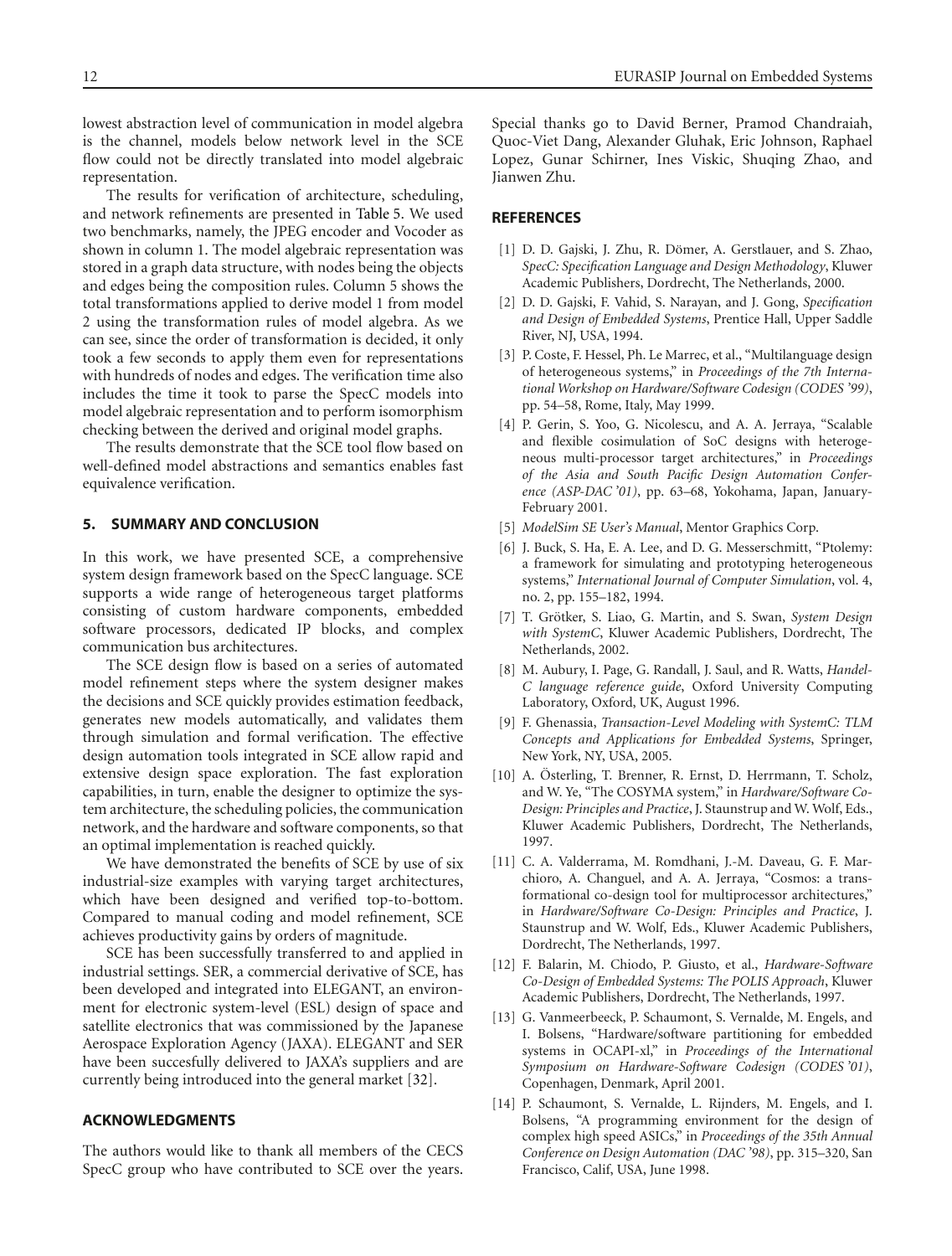lowest abstraction level of communication in model algebra is the channel, models below network level in the SCE flow could not be directly translated into model algebraic representation.

The results for verification of architecture, scheduling, and network refinements are presented in Table 5. We used two benchmarks, namely, the JPEG encoder and Vocoder as shown in column 1. The model algebraic representation was stored in a graph data structure, with nodes being the objects and edges being the composition rules. Column 5 shows the total transformations applied to derive model 1 from model 2 using the transformation rules of model algebra. As we can see, since the order of transformation is decided, it only took a few seconds to apply them even for representations with hundreds of nodes and edges. The verification time also includes the time it took to parse the SpecC models into model algebraic representation and to perform isomorphism checking between the derived and original model graphs.

The results demonstrate that the SCE tool flow based on well-defined model abstractions and semantics enables fast equivalence verification.

# **5. SUMMARY AND CONCLUSION**

In this work, we have presented SCE, a comprehensive system design framework based on the SpecC language. SCE supports a wide range of heterogeneous target platforms consisting of custom hardware components, embedded software processors, dedicated IP blocks, and complex communication bus architectures.

The SCE design flow is based on a series of automated model refinement steps where the system designer makes the decisions and SCE quickly provides estimation feedback, generates new models automatically, and validates them through simulation and formal verification. The effective design automation tools integrated in SCE allow rapid and extensive design space exploration. The fast exploration capabilities, in turn, enable the designer to optimize the system architecture, the scheduling policies, the communication network, and the hardware and software components, so that an optimal implementation is reached quickly.

We have demonstrated the benefits of SCE by use of six industrial-size examples with varying target architectures, which have been designed and verified top-to-bottom. Compared to manual coding and model refinement, SCE achieves productivity gains by orders of magnitude.

SCE has been successfully transferred to and applied in industrial settings. SER, a commercial derivative of SCE, has been developed and integrated into ELEGANT, an environment for electronic system-level (ESL) design of space and satellite electronics that was commissioned by the Japanese Aerospace Exploration Agency (JAXA). ELEGANT and SER have been succesfully delivered to JAXA's suppliers and are currently being introduced into the general market [32].

# **ACKNOWLEDGMENTS**

The authors would like to thank all members of the CECS SpecC group who have contributed to SCE over the years. Special thanks go to David Berner, Pramod Chandraiah, Quoc-Viet Dang, Alexander Gluhak, Eric Johnson, Raphael Lopez, Gunar Schirner, Ines Viskic, Shuqing Zhao, and Jianwen Zhu.

# **REFERENCES**

- [1] D. D. Gajski, J. Zhu, R. Dömer, A. Gerstlauer, and S. Zhao, *SpecC: Specification Language and Design Methodology*, Kluwer Academic Publishers, Dordrecht, The Netherlands, 2000.
- [2] D. D. Gajski, F. Vahid, S. Narayan, and J. Gong, *Specification and Design of Embedded Systems*, Prentice Hall, Upper Saddle River, NJ, USA, 1994.
- [3] P. Coste, F. Hessel, Ph. Le Marrec, et al., "Multilanguage design of heterogeneous systems," in *Proceedings of the 7th International Workshop on Hardware/Software Codesign (CODES '99)*, pp. 54–58, Rome, Italy, May 1999.
- [4] P. Gerin, S. Yoo, G. Nicolescu, and A. A. Jerraya, "Scalable and flexible cosimulation of SoC designs with heterogeneous multi-processor target architectures," in *Proceedings of the Asia and South Pacific Design Automation Conference (ASP-DAC '01)*, pp. 63–68, Yokohama, Japan, January-February 2001.
- [5] *ModelSim SE User's Manual*, Mentor Graphics Corp.
- [6] J. Buck, S. Ha, E. A. Lee, and D. G. Messerschmitt, "Ptolemy: a framework for simulating and prototyping heterogeneous systems," *International Journal of Computer Simulation*, vol. 4, no. 2, pp. 155–182, 1994.
- [7] T. Grötker, S. Liao, G. Martin, and S. Swan, System Design *with SystemC*, Kluwer Academic Publishers, Dordrecht, The Netherlands, 2002.
- [8] M. Aubury, I. Page, G. Randall, J. Saul, and R. Watts, *Handel-C language reference guide*, Oxford University Computing Laboratory, Oxford, UK, August 1996.
- [9] F. Ghenassia, *Transaction-Level Modeling with SystemC: TLM Concepts and Applications for Embedded Systems*, Springer, New York, NY, USA, 2005.
- [10] A. Österling, T. Brenner, R. Ernst, D. Herrmann, T. Scholz, and W. Ye, "The COSYMA system," in *Hardware/Software Co-Design: Principles and Practice*, J. Staunstrup and W. Wolf, Eds., Kluwer Academic Publishers, Dordrecht, The Netherlands, 1997.
- [11] C. A. Valderrama, M. Romdhani, J.-M. Daveau, G. F. Marchioro, A. Changuel, and A. A. Jerraya, "Cosmos: a transformational co-design tool for multiprocessor architectures," in *Hardware/Software Co-Design: Principles and Practice*, J. Staunstrup and W. Wolf, Eds., Kluwer Academic Publishers, Dordrecht, The Netherlands, 1997.
- [12] F. Balarin, M. Chiodo, P. Giusto, et al., *Hardware-Software Co-Design of Embedded Systems: The POLIS Approach*, Kluwer Academic Publishers, Dordrecht, The Netherlands, 1997.
- [13] G. Vanmeerbeeck, P. Schaumont, S. Vernalde, M. Engels, and I. Bolsens, "Hardware/software partitioning for embedded systems in OCAPI-xl," in *Proceedings of the International Symposium on Hardware-Software Codesign (CODES '01)*, Copenhagen, Denmark, April 2001.
- [14] P. Schaumont, S. Vernalde, L. Rijnders, M. Engels, and I. Bolsens, "A programming environment for the design of complex high speed ASICs," in *Proceedings of the 35th Annual Conference on Design Automation (DAC '98)*, pp. 315–320, San Francisco, Calif, USA, June 1998.